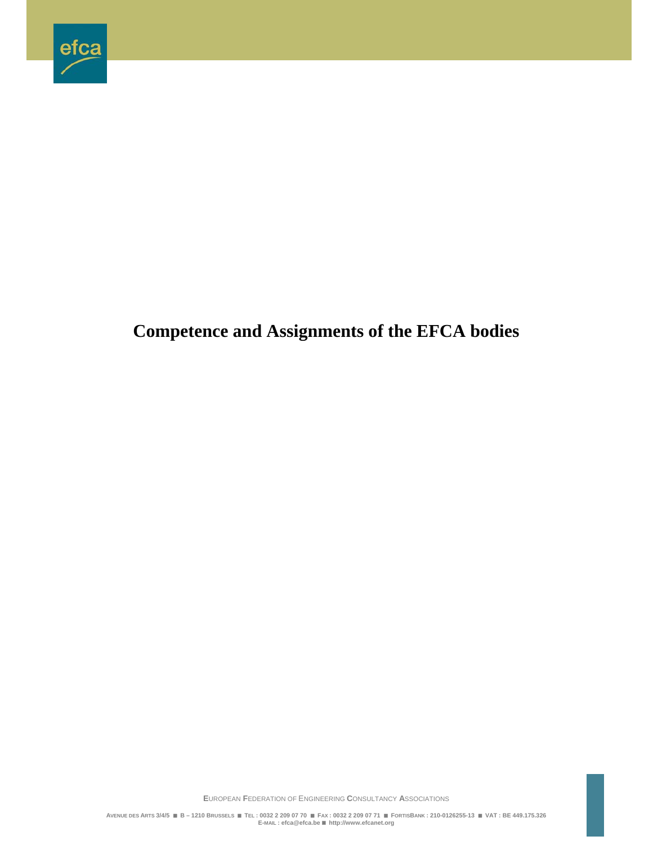

# **Competence and Assignments of the EFCA bodies**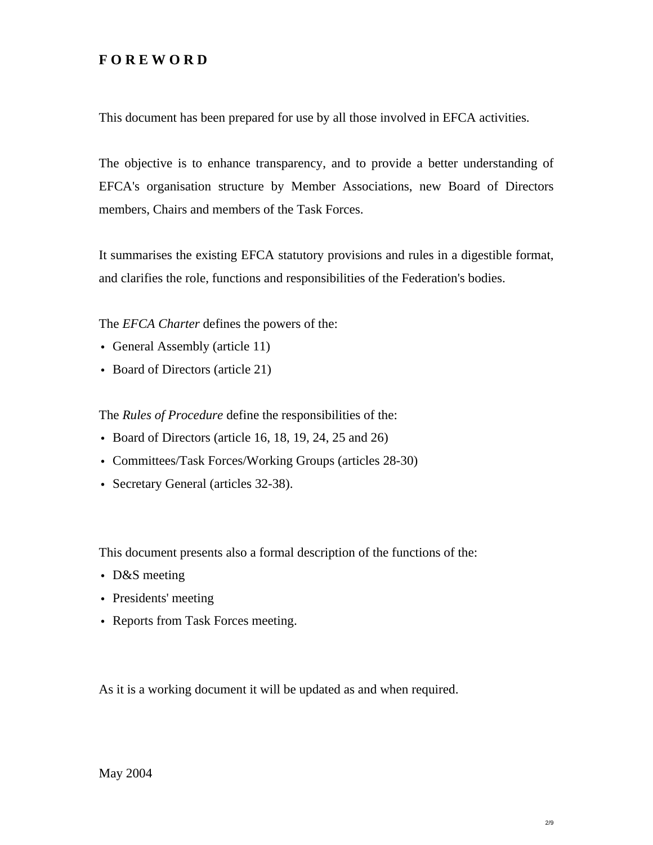# **F O R E W O R D**

This document has been prepared for use by all those involved in EFCA activities.

The objective is to enhance transparency, and to provide a better understanding of EFCA's organisation structure by Member Associations, new Board of Directors members, Chairs and members of the Task Forces.

It summarises the existing EFCA statutory provisions and rules in a digestible format, and clarifies the role, functions and responsibilities of the Federation's bodies.

The *EFCA Charter* defines the powers of the:

- General Assembly (article 11)
- Board of Directors (article 21)

The *Rules of Procedure* define the responsibilities of the:

- Board of Directors (article 16, 18, 19, 24, 25 and 26)
- Committees/Task Forces/Working Groups (articles 28-30)
- Secretary General (articles 32-38).

This document presents also a formal description of the functions of the:

- D&S meeting
- Presidents' meeting
- Reports from Task Forces meeting.

As it is a working document it will be updated as and when required.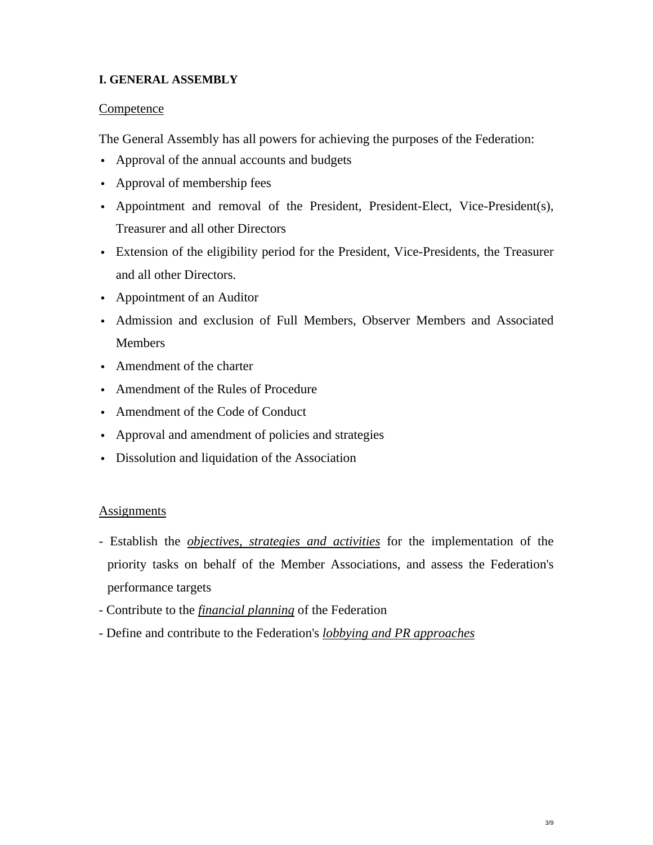## **I. GENERAL ASSEMBLY**

## Competence

The General Assembly has all powers for achieving the purposes of the Federation:

- Approval of the annual accounts and budgets
- Approval of membership fees
- v Appointment and removal of the President, President-Elect, Vice-President(s), Treasurer and all other Directors
- v Extension of the eligibility period for the President, Vice-Presidents, the Treasurer and all other Directors.
- Appointment of an Auditor
- v Admission and exclusion of Full Members, Observer Members and Associated **Members**
- Amendment of the charter
- Amendment of the Rules of Procedure
- Amendment of the Code of Conduct
- Approval and amendment of policies and strategies
- Dissolution and liquidation of the Association

## Assignments

- Establish the *objectives, strategies and activities* for the implementation of the priority tasks on behalf of the Member Associations, and assess the Federation's performance targets
- Contribute to the *financial planning* of the Federation
- Define and contribute to the Federation's *lobbying and PR approaches*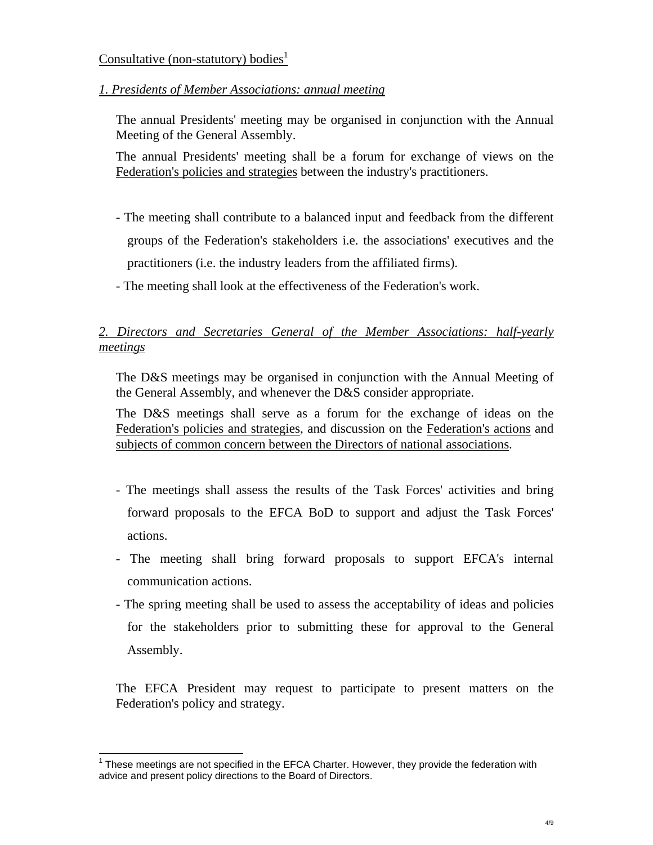#### Consultative (non-statutory) bodies<sup>1</sup>

*1. Presidents of Member Associations: annual meeting*

The annual Presidents' meeting may be organised in conjunction with the Annual Meeting of the General Assembly.

The annual Presidents' meeting shall be a forum for exchange of views on the Federation's policies and strategies between the industry's practitioners.

- The meeting shall contribute to a balanced input and feedback from the different groups of the Federation's stakeholders i.e. the associations' executives and the practitioners (i.e. the industry leaders from the affiliated firms).
- The meeting shall look at the effectiveness of the Federation's work.

# *2. Directors and Secretaries General of the Member Associations: half-yearly meetings*

The D&S meetings may be organised in conjunction with the Annual Meeting of the General Assembly, and whenever the D&S consider appropriate.

The D&S meetings shall serve as a forum for the exchange of ideas on the Federation's policies and strategies, and discussion on the Federation's actions and subjects of common concern between the Directors of national associations.

- The meetings shall assess the results of the Task Forces' activities and bring forward proposals to the EFCA BoD to support and adjust the Task Forces' actions.
- The meeting shall bring forward proposals to support EFCA's internal communication actions.
- The spring meeting shall be used to assess the acceptability of ideas and policies for the stakeholders prior to submitting these for approval to the General Assembly.

The EFCA President may request to participate to present matters on the Federation's policy and strategy.

l

 $1$  These meetings are not specified in the EFCA Charter. However, they provide the federation with advice and present policy directions to the Board of Directors.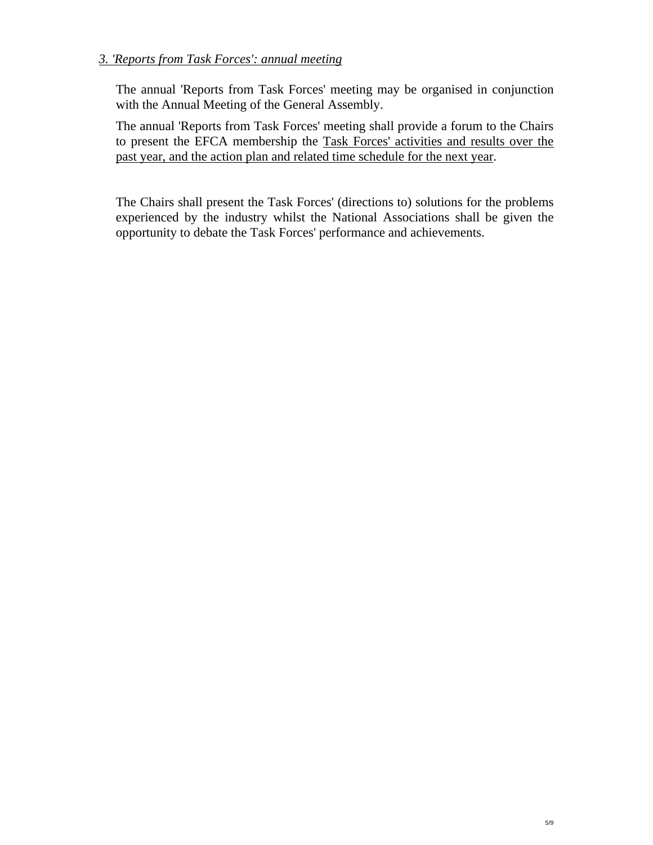## *3. 'Reports from Task Forces': annual meeting*

The annual 'Reports from Task Forces' meeting may be organised in conjunction with the Annual Meeting of the General Assembly.

The annual 'Reports from Task Forces' meeting shall provide a forum to the Chairs to present the EFCA membership the Task Forces' activities and results over the past year, and the action plan and related time schedule for the next year.

The Chairs shall present the Task Forces' (directions to) solutions for the problems experienced by the industry whilst the National Associations shall be given the opportunity to debate the Task Forces' performance and achievements.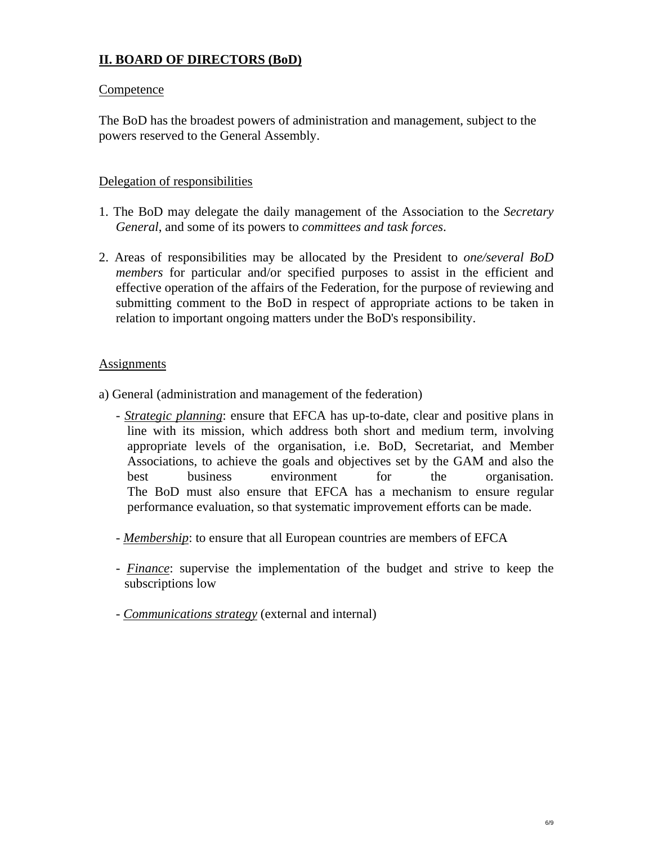# **II. BOARD OF DIRECTORS (BoD)**

#### **Competence**

The BoD has the broadest powers of administration and management, subject to the powers reserved to the General Assembly.

#### Delegation of responsibilities

- 1. The BoD may delegate the daily management of the Association to the *Secretary General*, and some of its powers to *committees and task forces*.
- 2. Areas of responsibilities may be allocated by the President to *one/several BoD members* for particular and/or specified purposes to assist in the efficient and effective operation of the affairs of the Federation, for the purpose of reviewing and submitting comment to the BoD in respect of appropriate actions to be taken in relation to important ongoing matters under the BoD's responsibility.

#### Assignments

- a) General (administration and management of the federation)
	- *Strategic planning*: ensure that EFCA has up-to-date, clear and positive plans in line with its mission, which address both short and medium term, involving appropriate levels of the organisation, i.e. BoD, Secretariat, and Member Associations, to achieve the goals and objectives set by the GAM and also the best business environment for the organisation. The BoD must also ensure that EFCA has a mechanism to ensure regular performance evaluation, so that systematic improvement efforts can be made.
	- *Membership*: to ensure that all European countries are members of EFCA
	- *Finance*: supervise the implementation of the budget and strive to keep the subscriptions low
	- *Communications strategy* (external and internal)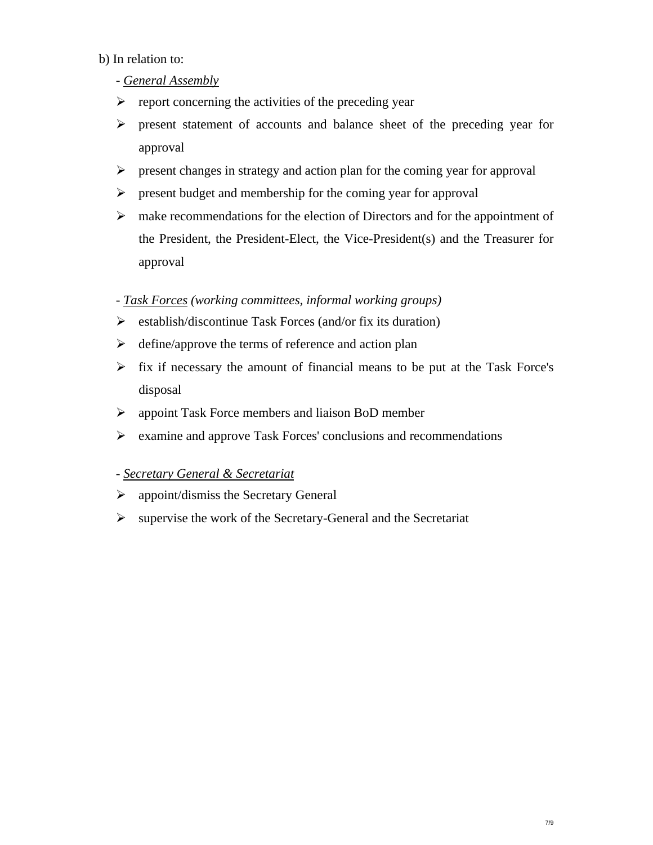## b) In relation to:

# - *General Assembly*

- $\triangleright$  report concerning the activities of the preceding year
- ¾ present statement of accounts and balance sheet of the preceding year for approval
- $\triangleright$  present changes in strategy and action plan for the coming year for approval
- $\triangleright$  present budget and membership for the coming year for approval
- $\triangleright$  make recommendations for the election of Directors and for the appointment of the President, the President-Elect, the Vice-President(s) and the Treasurer for approval

## - *Task Forces (working committees, informal working groups)*

- $\triangleright$  establish/discontinue Task Forces (and/or fix its duration)
- $\triangleright$  define/approve the terms of reference and action plan
- $\triangleright$  fix if necessary the amount of financial means to be put at the Task Force's disposal
- $\triangleright$  appoint Task Force members and liaison BoD member
- ¾ examine and approve Task Forces' conclusions and recommendations

## - *Secretary General & Secretariat*

- $\triangleright$  appoint/dismiss the Secretary General
- $\triangleright$  supervise the work of the Secretary-General and the Secretariat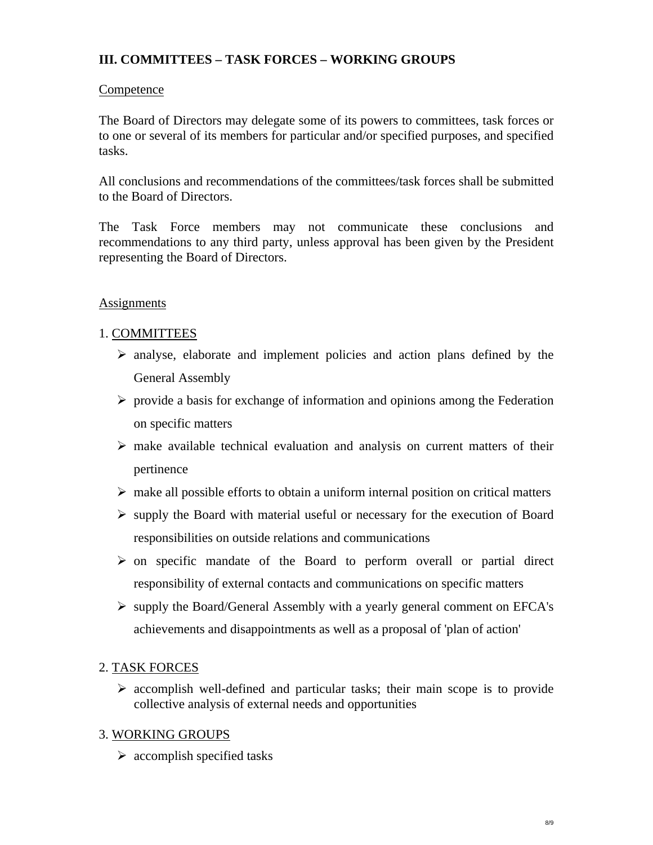# **III. COMMITTEES – TASK FORCES – WORKING GROUPS**

## **Competence**

The Board of Directors may delegate some of its powers to committees, task forces or to one or several of its members for particular and/or specified purposes, and specified tasks.

All conclusions and recommendations of the committees/task forces shall be submitted to the Board of Directors.

The Task Force members may not communicate these conclusions and recommendations to any third party, unless approval has been given by the President representing the Board of Directors.

# Assignments

# 1. COMMITTEES

- $\triangleright$  analyse, elaborate and implement policies and action plans defined by the General Assembly
- $\triangleright$  provide a basis for exchange of information and opinions among the Federation on specific matters
- $\triangleright$  make available technical evaluation and analysis on current matters of their pertinence
- $\triangleright$  make all possible efforts to obtain a uniform internal position on critical matters
- $\triangleright$  supply the Board with material useful or necessary for the execution of Board responsibilities on outside relations and communications
- $\triangleright$  on specific mandate of the Board to perform overall or partial direct responsibility of external contacts and communications on specific matters
- ¾ supply the Board/General Assembly with a yearly general comment on EFCA's achievements and disappointments as well as a proposal of 'plan of action'

## 2. TASK FORCES

 $\triangleright$  accomplish well-defined and particular tasks; their main scope is to provide collective analysis of external needs and opportunities

# 3. WORKING GROUPS

 $\triangleright$  accomplish specified tasks